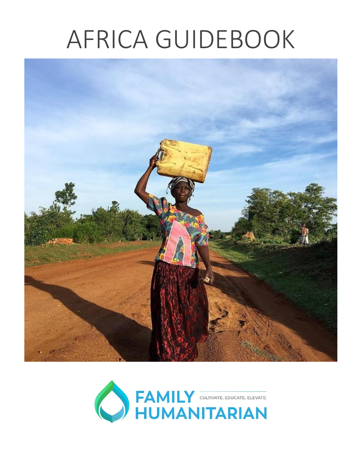# AFRICA GUIDEBOOK



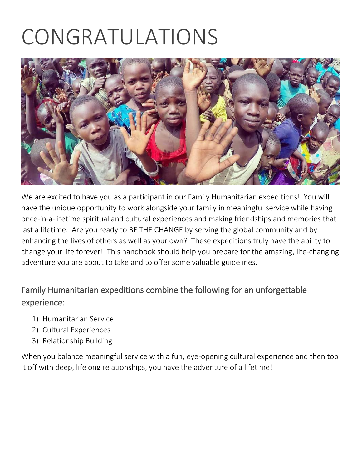## CONGRATULATIONS



We are excited to have you as a participant in our Family Humanitarian expeditions! You will have the unique opportunity to work alongside your family in meaningful service while having once-in-a-lifetime spiritual and cultural experiences and making friendships and memories that last a lifetime. Are you ready to BE THE CHANGE by serving the global community and by enhancing the lives of others as well as your own? These expeditions truly have the ability to change your life forever! This handbook should help you prepare for the amazing, life-changing adventure you are about to take and to offer some valuable guidelines.

#### Family Humanitarian expeditions combine the following for an unforgettable experience:

- 1) Humanitarian Service
- 2) Cultural Experiences
- 3) Relationship Building

When you balance meaningful service with a fun, eye-opening cultural experience and then top it off with deep, lifelong relationships, you have the adventure of a lifetime!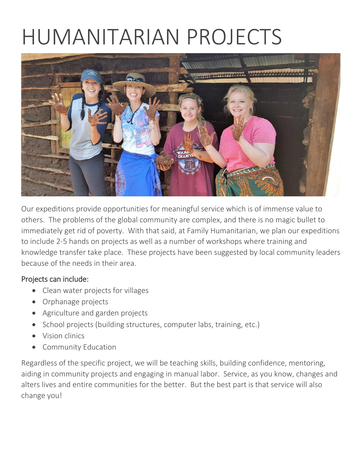## HUMANITARIAN PROJECTS



Our expeditions provide opportunities for meaningful service which is of immense value to others. The problems of the global community are complex, and there is no magic bullet to immediately get rid of poverty. With that said, at Family Humanitarian, we plan our expeditions to include 2-5 hands on projects as well as a number of workshops where training and knowledge transfer take place. These projects have been suggested by local community leaders because of the needs in their area.

#### Projects can include:

- Clean water projects for villages
- Orphanage projects
- Agriculture and garden projects
- School projects (building structures, computer labs, training, etc.)
- Vision clinics
- Community Education

Regardless of the specific project, we will be teaching skills, building confidence, mentoring, aiding in community projects and engaging in manual labor. Service, as you know, changes and alters lives and entire communities for the better. But the best part is that service will also change you!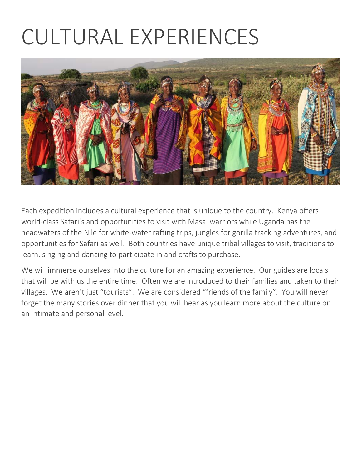## CULTURAL EXPERIENCES



Each expedition includes a cultural experience that is unique to the country. Kenya offers world-class Safari's and opportunities to visit with Masai warriors while Uganda has the headwaters of the Nile for white-water rafting trips, jungles for gorilla tracking adventures, and opportunities for Safari as well. Both countries have unique tribal villages to visit, traditions to learn, singing and dancing to participate in and crafts to purchase.

We will immerse ourselves into the culture for an amazing experience. Our guides are locals that will be with us the entire time. Often we are introduced to their families and taken to their villages. We aren't just "tourists". We are considered "friends of the family". You will never forget the many stories over dinner that you will hear as you learn more about the culture on an intimate and personal level.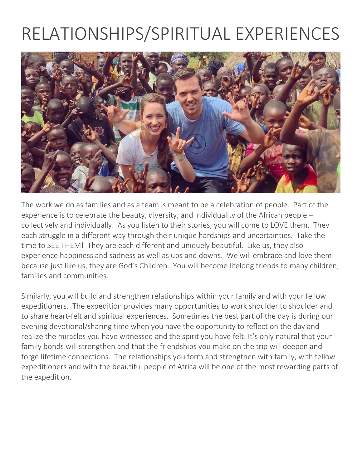### RELATIONSHIPS/SPIRITUAL EXPERIENCES



The work we do as families and as a team is meant to be a celebration of people. Part of the experience is to celebrate the beauty, diversity, and individuality of the African people – collectively and individually. As you listen to their stories, you will come to LOVE them. They each struggle in a different way through their unique hardships and uncertainties. Take the time to SEE THEM! They are each different and uniquely beautiful. Like us, they also experience happiness and sadness as well as ups and downs. We will embrace and love them because just like us, they are God's Children. You will become lifelong friends to many children, families and communities.

Similarly, you will build and strengthen relationships within your family and with your fellow expeditioners. The expedition provides many opportunities to work shoulder to shoulder and to share heart-felt and spiritual experiences. Sometimes the best part of the day is during our evening devotional/sharing time when you have the opportunity to reflect on the day and realize the miracles you have witnessed and the spirit you have felt. It's only natural that your family bonds will strengthen and that the friendships you make on the trip will deepen and forge lifetime connections. The relationships you form and strengthen with family, with fellow expeditioners and with the beautiful people of Africa will be one of the most rewarding parts of the expedition.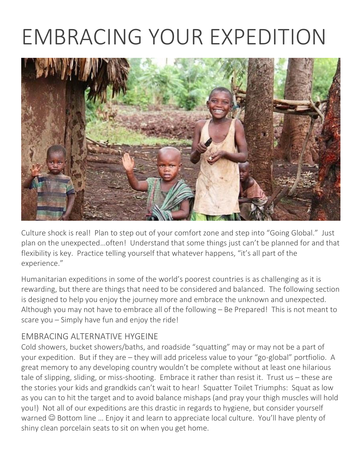### EMBRACING YOUR EXPEDITION



Culture shock is real! Plan to step out of your comfort zone and step into "Going Global." Just plan on the unexpected…often! Understand that some things just can't be planned for and that flexibility is key. Practice telling yourself that whatever happens, "it's all part of the experience."

Humanitarian expeditions in some of the world's poorest countries is as challenging as it is rewarding, but there are things that need to be considered and balanced. The following section is designed to help you enjoy the journey more and embrace the unknown and unexpected. Although you may not have to embrace all of the following – Be Prepared! This is not meant to scare you – Simply have fun and enjoy the ride!

#### EMBRACING ALTERNATIVE HYGEINE

Cold showers, bucket showers/baths, and roadside "squatting" may or may not be a part of your expedition. But if they are – they will add priceless value to your "go-global" portfiolio. A great memory to any developing country wouldn't be complete without at least one hilarious tale of slipping, sliding, or miss-shooting. Embrace it rather than resist it. Trust us – these are the stories your kids and grandkids can't wait to hear! Squatter Toilet Triumphs: Squat as low as you can to hit the target and to avoid balance mishaps (and pray your thigh muscles will hold you!) Not all of our expeditions are this drastic in regards to hygiene, but consider yourself warned  $\odot$  Bottom line ... Enjoy it and learn to appreciate local culture. You'll have plenty of shiny clean porcelain seats to sit on when you get home.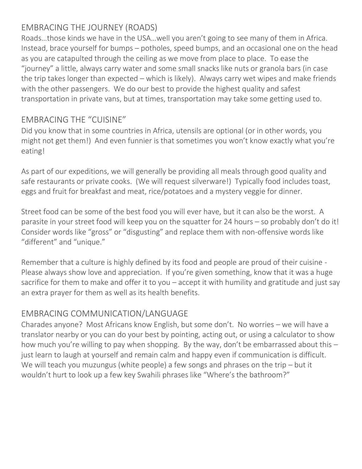#### EMBRACING THE JOURNEY (ROADS)

Roads…those kinds we have in the USA…well you aren't going to see many of them in Africa. Instead, brace yourself for bumps – potholes, speed bumps, and an occasional one on the head as you are catapulted through the ceiling as we move from place to place. To ease the "journey" a little, always carry water and some small snacks like nuts or granola bars (in case the trip takes longer than expected – which is likely). Always carry wet wipes and make friends with the other passengers. We do our best to provide the highest quality and safest transportation in private vans, but at times, transportation may take some getting used to.

#### EMBRACING THE "CUISINE"

Did you know that in some countries in Africa, utensils are optional (or in other words, you might not get them!) And even funnier is that sometimes you won't know exactly what you're eating!

As part of our expeditions, we will generally be providing all meals through good quality and safe restaurants or private cooks. (We will request silverware!) Typically food includes toast, eggs and fruit for breakfast and meat, rice/potatoes and a mystery veggie for dinner.

Street food can be some of the best food you will ever have, but it can also be the worst. A parasite in your street food will keep you on the squatter for 24 hours – so probably don't do it! Consider words like "gross" or "disgusting" and replace them with non-offensive words like "different" and "unique."

Remember that a culture is highly defined by its food and people are proud of their cuisine - Please always show love and appreciation. If you're given something, know that it was a huge sacrifice for them to make and offer it to you – accept it with humility and gratitude and just say an extra prayer for them as well as its health benefits.

#### EMBRACING COMMUNICATION/LANGUAGE

Charades anyone? Most Africans know English, but some don't. No worries – we will have a translator nearby or you can do your best by pointing, acting out, or using a calculator to show how much you're willing to pay when shopping. By the way, don't be embarrassed about this – just learn to laugh at yourself and remain calm and happy even if communication is difficult. We will teach you muzungus (white people) a few songs and phrases on the trip – but it wouldn't hurt to look up a few key Swahili phrases like "Where's the bathroom?"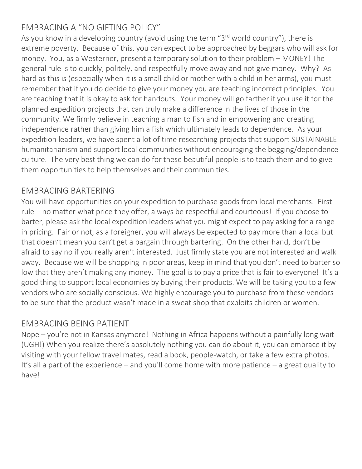#### EMBRACING A "NO GIFTING POLICY"

As you know in a developing country (avoid using the term "3<sup>rd</sup> world country"), there is extreme poverty. Because of this, you can expect to be approached by beggars who will ask for money. You, as a Westerner, present a temporary solution to their problem – MONEY! The general rule is to quickly, politely, and respectfully move away and not give money. Why? As hard as this is (especially when it is a small child or mother with a child in her arms), you must remember that if you do decide to give your money you are teaching incorrect principles. You are teaching that it is okay to ask for handouts. Your money will go farther if you use it for the planned expedition projects that can truly make a difference in the lives of those in the community. We firmly believe in teaching a man to fish and in empowering and creating independence rather than giving him a fish which ultimately leads to dependence. As your expedition leaders, we have spent a lot of time researching projects that support SUSTAINABLE humanitarianism and support local communities without encouraging the begging/dependence culture. The very best thing we can do for these beautiful people is to teach them and to give them opportunities to help themselves and their communities.

#### EMBRACING BARTERING

You will have opportunities on your expedition to purchase goods from local merchants. First rule – no matter what price they offer, always be respectful and courteous! If you choose to barter, please ask the local expedition leaders what you might expect to pay asking for a range in pricing. Fair or not, as a foreigner, you will always be expected to pay more than a local but that doesn't mean you can't get a bargain through bartering. On the other hand, don't be afraid to say no if you really aren't interested. Just firmly state you are not interested and walk away. Because we will be shopping in poor areas, keep in mind that you don't need to barter so low that they aren't making any money. The goal is to pay a price that is fair to everyone! It's a good thing to support local economies by buying their products. We will be taking you to a few vendors who are socially conscious. We highly encourage you to purchase from these vendors to be sure that the product wasn't made in a sweat shop that exploits children or women.

#### EMBRACING BEING PATIENT

Nope – you're not in Kansas anymore! Nothing in Africa happens without a painfully long wait (UGH!) When you realize there's absolutely nothing you can do about it, you can embrace it by visiting with your fellow travel mates, read a book, people-watch, or take a few extra photos. It's all a part of the experience – and you'll come home with more patience – a great quality to have!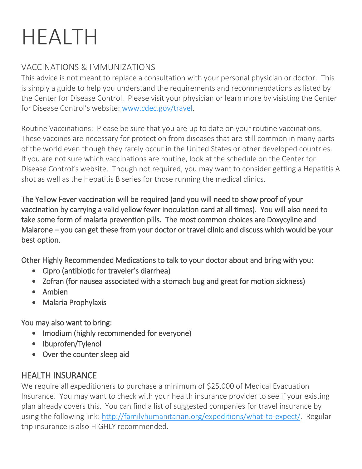## HEALTH

#### VACCINATIONS & IMMUNIZATIONS

This advice is not meant to replace a consultation with your personal physician or doctor. This is simply a guide to help you understand the requirements and recommendations as listed by the Center for Disease Control. Please visit your physician or learn more by visisting the Center for Disease Control's website: [www.cdec.gov/travel.](http://www.cdec.gov/travel)

Routine Vaccinations: Please be sure that you are up to date on your routine vaccinations. These vaccines are necessary for protection from diseases that are still common in many parts of the world even though they rarely occur in the United States or other developed countries. If you are not sure which vaccinations are routine, look at the schedule on the Center for Disease Control's website. Though not required, you may want to consider getting a Hepatitis A shot as well as the Hepatitis B series for those running the medical clinics.

The Yellow Fever vaccination will be required (and you will need to show proof of your vaccination by carrying a valid yellow fever inoculation card at all times). You will also need to take some form of malaria prevention pills. The most common choices are Doxycyline and Malarone – you can get these from your doctor or travel clinic and discuss which would be your best option.

Other Highly Recommended Medications to talk to your doctor about and bring with you:

- Cipro (antibiotic for traveler's diarrhea)
- Zofran (for nausea associated with a stomach bug and great for motion sickness)
- Ambien
- Malaria Prophylaxis

You may also want to bring:

- Imodium (highly recommended for everyone)
- Ibuprofen/Tylenol
- Over the counter sleep aid

#### HEALTH INSURANCE

We require all expeditioners to purchase a minimum of \$25,000 of Medical Evacuation Insurance. You may want to check with your health insurance provider to see if your existing plan already covers this. You can find a list of suggested companies for travel insurance by using the following link: [http://familyhumanitarian.org/expeditions/what-to-expect/.](http://familyhumanitarian.org/expeditions/what-to-expect/) Regular trip insurance is also HIGHLY recommended.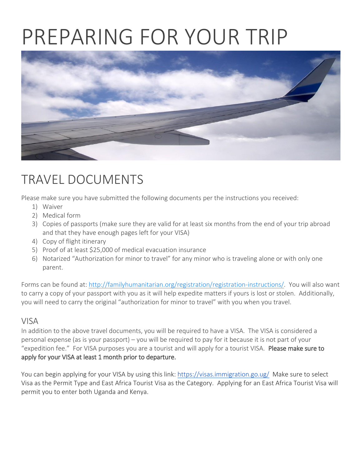### PREPARING FOR YOUR TRIP



### TRAVEL DOCUMENTS

Please make sure you have submitted the following documents per the instructions you received:

- 1) Waiver
- 2) Medical form
- 3) Copies of passports (make sure they are valid for at least six months from the end of your trip abroad and that they have enough pages left for your VISA)
- 4) Copy of flight itinerary
- 5) Proof of at least \$25,000 of medical evacuation insurance
- 6) Notarized "Authorization for minor to travel" for any minor who is traveling alone or with only one parent.

Forms can be found at: [http://familyhumanitarian.org/registration/registration-instructions/.](http://familyhumanitarian.org/registration/registration-instructions/) You will also want to carry a copy of your passport with you as it will help expedite matters if yours is lost or stolen. Additionally, you will need to carry the original "authorization for minor to travel" with you when you travel.

#### VISA

In addition to the above travel documents, you will be required to have a VISA. The VISA is considered a personal expense (as is your passport) – you will be required to pay for it because it is not part of your "expedition fee." For VISA purposes you are a tourist and will apply for a tourist VISA. Please make sure to apply for your VISA at least 1 month prior to departure.

You can begin applying for your VISA by using this link:<https://visas.immigration.go.ug/> Make sure to select Visa as the Permit Type and East Africa Tourist Visa as the Category. Applying for an East Africa Tourist Visa will permit you to enter both Uganda and Kenya.